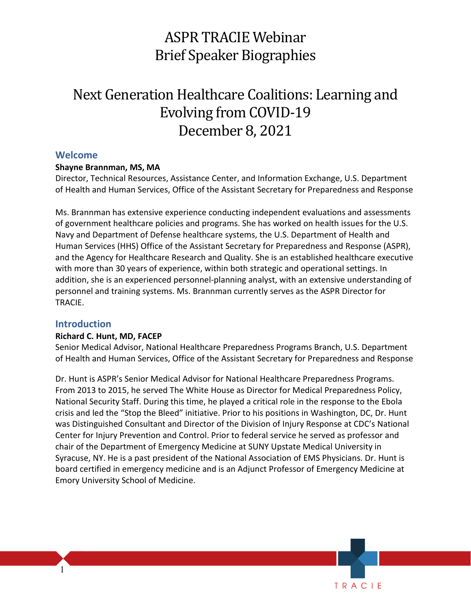## ASPR TRACIE Webinar Brief Speaker Biographies

# Next Generation Healthcare Coalitions: Learning and Evolving from COVID-19 December 8, 2021

## **Welcome**

## **Shayne Brannman, MS, MA**

Director, Technical Resources, Assistance Center, and Information Exchange, U.S. Department of Health and Human Services, Office of the Assistant Secretary for Preparedness and Response

 of government healthcare policies and programs. She has worked on health issues for the U.S. and the Agency for Healthcare Research and Quality. She is an established healthcare executive addition, she is an experienced personnel-planning analyst, with an extensive understanding of Ms. Brannman has extensive experience conducting independent evaluations and assessments Navy and Department of Defense healthcare systems, the U.S. Department of Health and Human Services (HHS) Office of the Assistant Secretary for Preparedness and Response (ASPR), with more than 30 years of experience, within both strategic and operational settings. In personnel and training systems. Ms. Brannman currently serves as the ASPR Director for TRACIE.

## **Introduction**

1

#### **Richard C. Hunt, MD, FACEP**

 Senior Medical Advisor, National Healthcare Preparedness Programs Branch, U.S. Department of Health and Human Services, Office of the Assistant Secretary for Preparedness and Response

 Dr. Hunt is ASPR's Senior Medical Advisor for National Healthcare Preparedness Programs. From 2013 to 2015, he served The White House as Director for Medical Preparedness Policy, National Security Staff. During this time, he played a critical role in the response to the Ebola crisis and led the "Stop the Bleed" initiative. Prior to his positions in Washington, DC, Dr. Hunt was Distinguished Consultant and Director of the Division of Injury Response at CDC's National chair of the Department of Emergency Medicine at SUNY Upstate Medical University in Emory University School of Medicine. Center for Injury Prevention and Control. Prior to federal service he served as professor and Syracuse, NY. He is a past president of the National Association of EMS Physicians. Dr. Hunt is board certified in emergency medicine and is an Adjunct Professor of Emergency Medicine at

TRACIE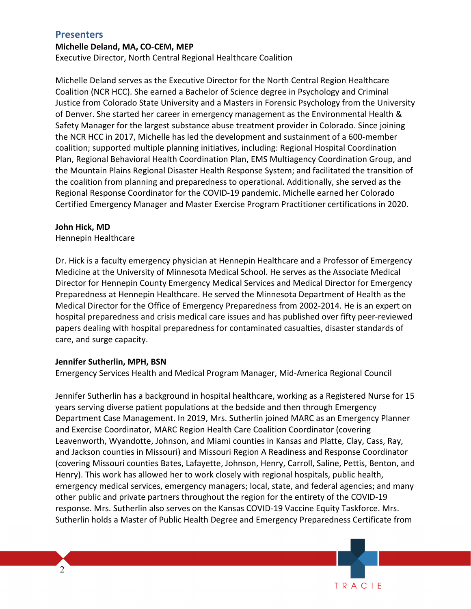## **Presenters**

#### **Michelle Deland, MA, CO-CEM, MEP**

Executive Director, North Central Regional Healthcare Coalition

 Justice from Colorado State University and a Masters in Forensic Psychology from the University Safety Manager for the largest substance abuse treatment provider in Colorado. Since joining the coalition from planning and preparedness to operational. Additionally, she served as the Michelle Deland serves as the Executive Director for the North Central Region Healthcare Coalition (NCR HCC). She earned a Bachelor of Science degree in Psychology and Criminal of Denver. She started her career in emergency management as the Environmental Health & the NCR HCC in 2017, Michelle has led the development and sustainment of a 600-member coalition; supported multiple planning initiatives, including: Regional Hospital Coordination Plan, Regional Behavioral Health Coordination Plan, EMS Multiagency Coordination Group, and the Mountain Plains Regional Disaster Health Response System; and facilitated the transition of Regional Response Coordinator for the COVID-19 pandemic. Michelle earned her Colorado Certified Emergency Manager and Master Exercise Program Practitioner certifications in 2020.

#### **John Hick, MD**

Hennepin Healthcare

 Medicine at the University of Minnesota Medical School. He serves as the Associate Medical Medical Director for the Office of Emergency Preparedness from 2002-2014. He is an expert on papers dealing with hospital preparedness for contaminated casualties, disaster standards of Dr. Hick is a faculty emergency physician at Hennepin Healthcare and a Professor of Emergency Director for Hennepin County Emergency Medical Services and Medical Director for Emergency Preparedness at Hennepin Healthcare. He served the Minnesota Department of Health as the hospital preparedness and crisis medical care issues and has published over fifty peer-reviewed care, and surge capacity.

#### **Jennifer Sutherlin, MPH, BSN**

Emergency Services Health and Medical Program Manager, Mid-America Regional Council

Jennifer Sutherlin has a background in hospital healthcare, working as a Registered Nurse for 15 years serving diverse patient populations at the bedside and then through Emergency Department Case Management. In 2019, Mrs. Sutherlin joined MARC as an Emergency Planner and Exercise Coordinator, MARC Region Health Care Coalition Coordinator (covering Leavenworth, Wyandotte, Johnson, and Miami counties in Kansas and Platte, Clay, Cass, Ray, and Jackson counties in Missouri) and Missouri Region A Readiness and Response Coordinator (covering Missouri counties Bates, Lafayette, Johnson, Henry, Carroll, Saline, Pettis, Benton, and Henry). This work has allowed her to work closely with regional hospitals, public health, emergency medical services, emergency managers; local, state, and federal agencies; and many other public and private partners throughout the region for the entirety of the COVID-19 response. Mrs. Sutherlin also serves on the Kansas COVID-19 Vaccine Equity Taskforce. Mrs. Sutherlin holds a Master of Public Health Degree and Emergency Preparedness Certificate from

TRACIE